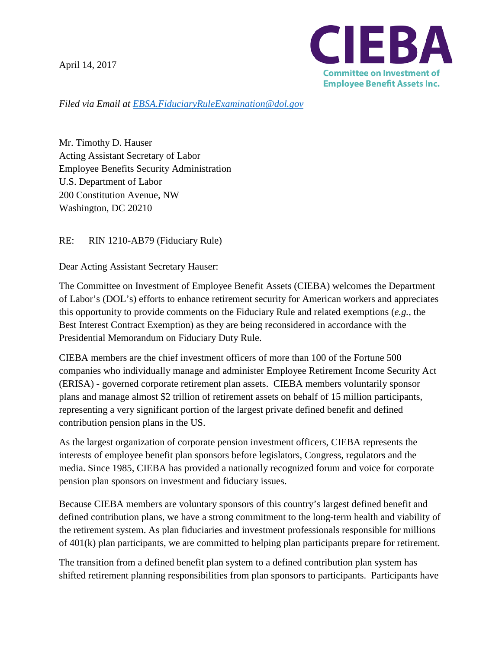April 14, 2017



*Filed via Email at [EBSA.FiduciaryRuleExamination@dol.gov](mailto:EBSA.FiduciaryRuleExamination@dol.gov)*

Mr. Timothy D. Hauser Acting Assistant Secretary of Labor Employee Benefits Security Administration U.S. Department of Labor 200 Constitution Avenue, NW Washington, DC 20210

RE: RIN 1210-AB79 (Fiduciary Rule)

Dear Acting Assistant Secretary Hauser:

The Committee on Investment of Employee Benefit Assets (CIEBA) welcomes the Department of Labor's (DOL's) efforts to enhance retirement security for American workers and appreciates this opportunity to provide comments on the Fiduciary Rule and related exemptions (*e.g.*, the Best Interest Contract Exemption) as they are being reconsidered in accordance with the Presidential Memorandum on Fiduciary Duty Rule.

CIEBA members are the chief investment officers of more than 100 of the Fortune 500 companies who individually manage and administer Employee Retirement Income Security Act (ERISA) - governed corporate retirement plan assets. CIEBA members voluntarily sponsor plans and manage almost \$2 trillion of retirement assets on behalf of 15 million participants, representing a very significant portion of the largest private defined benefit and defined contribution pension plans in the US.

As the largest organization of corporate pension investment officers, CIEBA represents the interests of employee benefit plan sponsors before legislators, Congress, regulators and the media. Since 1985, CIEBA has provided a nationally recognized forum and voice for corporate pension plan sponsors on investment and fiduciary issues.

Because CIEBA members are voluntary sponsors of this country's largest defined benefit and defined contribution plans, we have a strong commitment to the long-term health and viability of the retirement system. As plan fiduciaries and investment professionals responsible for millions of 401(k) plan participants, we are committed to helping plan participants prepare for retirement.

The transition from a defined benefit plan system to a defined contribution plan system has shifted retirement planning responsibilities from plan sponsors to participants. Participants have